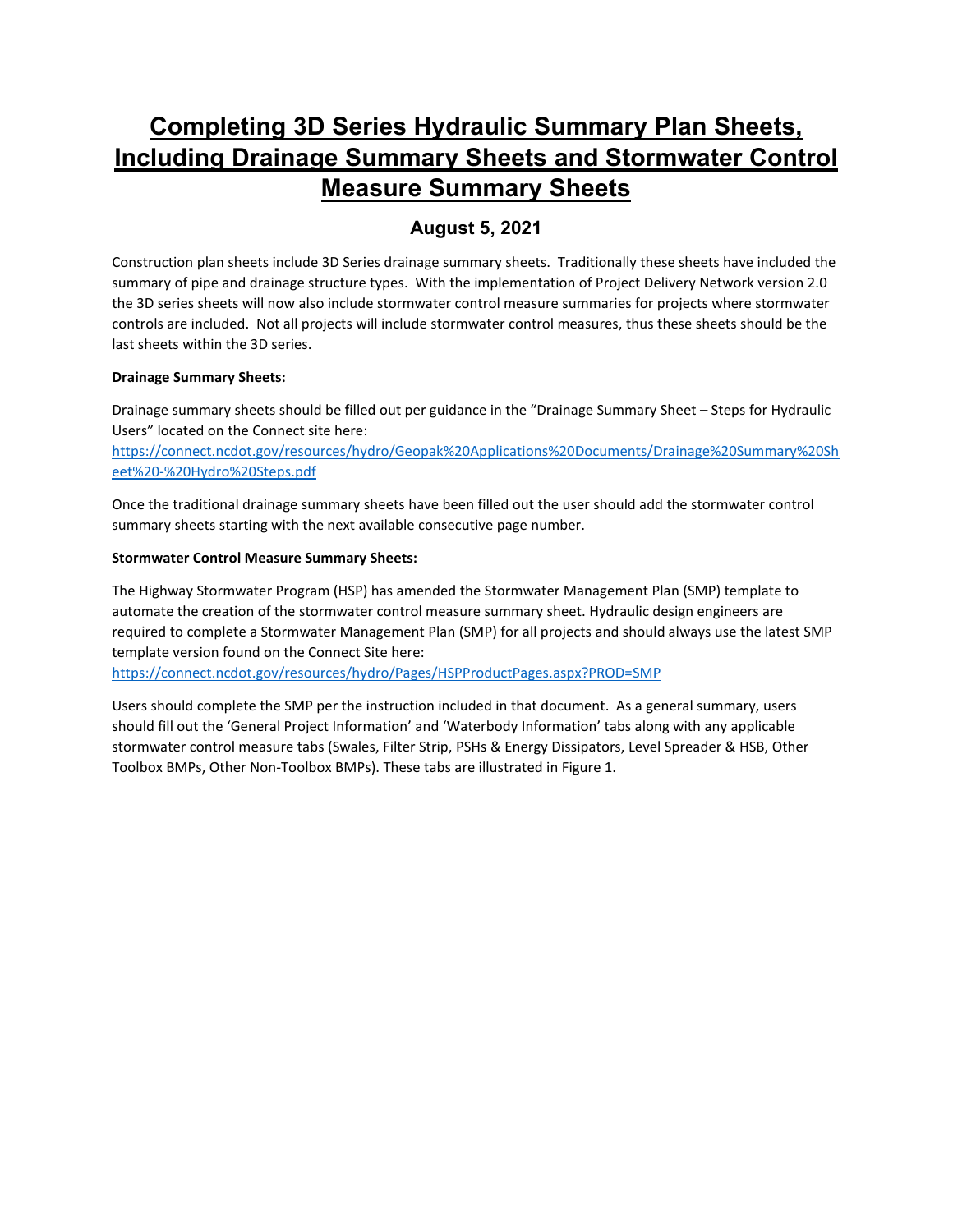# **Completing 3D Series Hydraulic Summary Plan Sheets, Including Drainage Summary Sheets and Stormwater Control Measure Summary Sheets**

# **August 5, 2021**

Construction plan sheets include 3D Series drainage summary sheets. Traditionally these sheets have included the summary of pipe and drainage structure types. With the implementation of Project Delivery Network version 2.0 the 3D series sheets will now also include stormwater control measure summaries for projects where stormwater controls are included. Not all projects will include stormwater control measures, thus these sheets should be the last sheets within the 3D series.

# **Drainage Summary Sheets:**

Drainage summary sheets should be filled out per guidance in the "Drainage Summary Sheet – Steps for Hydraulic Users" located on the Connect site here:

[https://connect.ncdot.gov/resources/hydro/Geopak%20Applications%20Documents/Drainage%20Summary%20Sh](https://connect.ncdot.gov/resources/hydro/Geopak%20Applications%20Documents/Drainage%20Summary%20Sheet%20-%20Hydro%20Steps.pdf) [eet%20-%20Hydro%20Steps.pdf](https://connect.ncdot.gov/resources/hydro/Geopak%20Applications%20Documents/Drainage%20Summary%20Sheet%20-%20Hydro%20Steps.pdf)

Once the traditional drainage summary sheets have been filled out the user should add the stormwater control summary sheets starting with the next available consecutive page number.

# **Stormwater Control Measure Summary Sheets:**

The Highway Stormwater Program (HSP) has amended the Stormwater Management Plan (SMP) template to automate the creation of the stormwater control measure summary sheet. Hydraulic design engineers are required to complete a Stormwater Management Plan (SMP) for all projects and should always use the latest SMP template version found on the Connect Site here:

<https://connect.ncdot.gov/resources/hydro/Pages/HSPProductPages.aspx?PROD=SMP>

Users should complete the SMP per the instruction included in that document. As a general summary, users should fill out the 'General Project Information' and 'Waterbody Information' tabs along with any applicable stormwater control measure tabs (Swales, Filter Strip, PSHs & Energy Dissipators, Level Spreader & HSB, Other Toolbox BMPs, Other Non-Toolbox BMPs). These tabs are illustrated in Figure 1.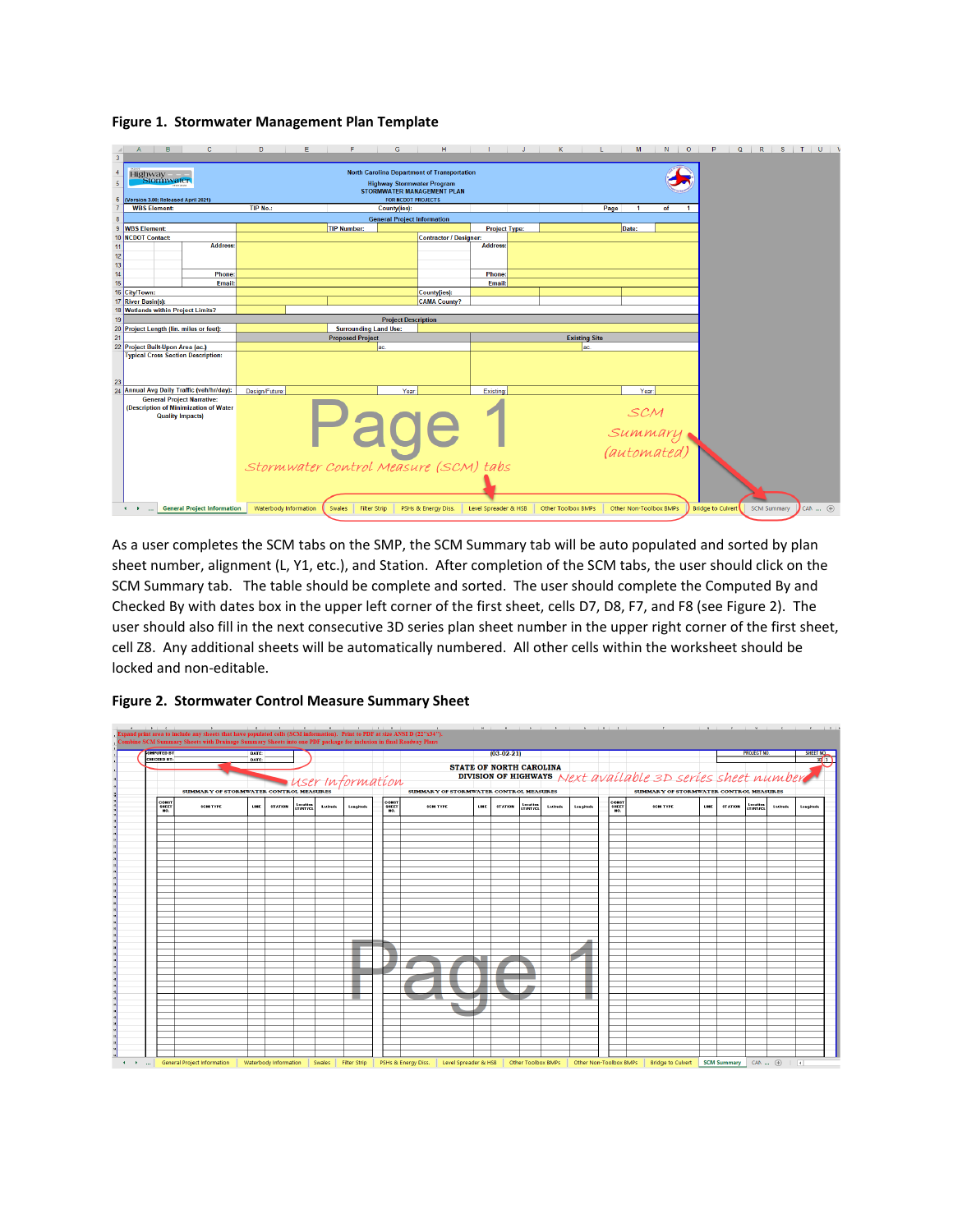#### **Figure 1. Stormwater Management Plan Template**

| $\overline{\mathbf{3}}$                                   | B                                                                                                                                                                                                                  | $\mathbf{C}$                       | D                     | E | F                       |                              | G                                  | н                      |                                       |                               | κ                           |      | м                      | N. | $\circ$ | P<br>Q                   | R |                    | $S$ $\vert$ $\vert$ $\vert$ $\vert$ $\vert$ $\vert$ $\vert$ |
|-----------------------------------------------------------|--------------------------------------------------------------------------------------------------------------------------------------------------------------------------------------------------------------------|------------------------------------|-----------------------|---|-------------------------|------------------------------|------------------------------------|------------------------|---------------------------------------|-------------------------------|-----------------------------|------|------------------------|----|---------|--------------------------|---|--------------------|-------------------------------------------------------------|
| $\overline{4}$<br>$\overline{5}$<br>$6\phantom{1}6$       | <b>North Carolina Department of Transportation</b><br>Highway<br>Stormwater<br><b>Highway Stormwater Program</b><br>STORMWATER MANAGEMENT PLAN<br>(Version 3.00; Released April 2021)<br><b>FOR NCDOT PROJECTS</b> |                                    |                       |   |                         |                              |                                    |                        |                                       |                               |                             |      |                        |    |         |                          |   |                    |                                                             |
| $\overline{7}$                                            | <b>WBS Element:</b>                                                                                                                                                                                                |                                    | TIP No.:              |   |                         | <b>County(ies):</b>          |                                    |                        |                                       |                               |                             | Page |                        | of |         |                          |   |                    |                                                             |
| $\boldsymbol{8}$                                          |                                                                                                                                                                                                                    |                                    |                       |   |                         |                              | <b>General Project Information</b> |                        |                                       |                               |                             |      |                        |    |         |                          |   |                    |                                                             |
| $\overline{9}$                                            | <b>WBS Element:</b>                                                                                                                                                                                                |                                    |                       |   | TIP Number:             |                              |                                    |                        |                                       | <b>Project Type:</b>          |                             |      | Date:                  |    |         |                          |   |                    |                                                             |
|                                                           | 10 NCDOT Contact:                                                                                                                                                                                                  |                                    |                       |   |                         |                              |                                    | Contractor / Designer: |                                       |                               |                             |      |                        |    |         |                          |   |                    |                                                             |
| $\begin{array}{r} 11 \\ 12 \\ 13 \\ 14 \\ 15 \end{array}$ |                                                                                                                                                                                                                    | <b>Address:</b>                    |                       |   |                         |                              |                                    |                        | <b>Address:</b>                       |                               |                             |      |                        |    |         |                          |   |                    |                                                             |
|                                                           |                                                                                                                                                                                                                    | Phone:                             |                       |   |                         |                              |                                    |                        | Phone:                                |                               |                             |      |                        |    |         |                          |   |                    |                                                             |
|                                                           |                                                                                                                                                                                                                    | Email:                             |                       |   |                         |                              |                                    |                        | Email:                                |                               |                             |      |                        |    |         |                          |   |                    |                                                             |
|                                                           | 16 City/Town:                                                                                                                                                                                                      |                                    |                       |   |                         |                              |                                    | County(ies):           |                                       |                               |                             |      |                        |    |         |                          |   |                    |                                                             |
|                                                           | 17 River Basin(s):                                                                                                                                                                                                 |                                    |                       |   |                         |                              |                                    | <b>CAMA County?</b>    |                                       |                               |                             |      |                        |    |         |                          |   |                    |                                                             |
|                                                           | 18 Wetlands within Project Limits?                                                                                                                                                                                 |                                    |                       |   |                         |                              |                                    |                        |                                       |                               |                             |      |                        |    |         |                          |   |                    |                                                             |
| 19                                                        |                                                                                                                                                                                                                    |                                    |                       |   |                         |                              | <b>Project Description</b>         |                        |                                       |                               |                             |      |                        |    |         |                          |   |                    |                                                             |
| $20\,$                                                    | Project Length (lin. miles or feet):                                                                                                                                                                               |                                    |                       |   |                         | <b>Surrounding Land Use:</b> |                                    |                        |                                       |                               |                             |      |                        |    |         |                          |   |                    |                                                             |
| 21                                                        |                                                                                                                                                                                                                    |                                    |                       |   | <b>Proposed Project</b> |                              |                                    |                        |                                       |                               | <b>Existing Site</b><br>ac. |      |                        |    |         |                          |   |                    |                                                             |
|                                                           | 22 Project Built-Upon Area (ac.)<br><b>Typical Cross Section Description:</b>                                                                                                                                      |                                    |                       |   |                         | lac.                         |                                    |                        |                                       |                               |                             |      |                        |    |         |                          |   |                    |                                                             |
| 23                                                        |                                                                                                                                                                                                                    |                                    |                       |   |                         |                              |                                    |                        |                                       |                               |                             |      |                        |    |         |                          |   |                    |                                                             |
|                                                           | 24 Annual Avg Daily Traffic (veh/hr/day):                                                                                                                                                                          |                                    | Design/Future:        |   |                         |                              | Year:                              |                        | Existing:                             |                               |                             |      | Year                   |    |         |                          |   |                    |                                                             |
|                                                           | <b>General Project Narrative:</b><br>(Description of Minimization of Water<br><b>Quality Impacts)</b>                                                                                                              |                                    |                       |   |                         |                              |                                    |                        | Stormwater Control Measure (SCM) tabs | SCM<br>Summary<br>(automated) |                             |      |                        |    |         |                          |   |                    |                                                             |
|                                                           | $\leftarrow$<br>$\cdots$                                                                                                                                                                                           | <b>General Project Information</b> | Waterbody Information |   | Swales                  | <b>Filter Strip</b>          |                                    | PSHs & Energy Diss.    | Level Spreader & HSB                  |                               | <b>Other Toolbox BMPs</b>   |      | Other Non-Toolbox BMPs |    |         | <b>Bridge to Culvert</b> |   | <b>SCM Summary</b> | CAN  (+)                                                    |

As a user completes the SCM tabs on the SMP, the SCM Summary tab will be auto populated and sorted by plan sheet number, alignment (L, Y1, etc.), and Station. After completion of the SCM tabs, the user should click on the SCM Summary tab. The table should be complete and sorted. The user should complete the Computed By and Checked By with dates box in the upper left corner of the first sheet, cells D7, D8, F7, and F8 (see Figure 2). The user should also fill in the next consecutive 3D series plan sheet number in the upper right corner of the first sheet, cell Z8. Any additional sheets will be automatically numbered. All other cells within the worksheet should be locked and non-editable.

| <b>OMPUTED BY</b>  |                 |                                               | DATE:       |                |                 |          |                  |                |                                        |                                | $(03-02-21)$   |                 |          |           |                |                                                            |      |                | <b>PROJECT NO</b> |          | <b>SHEET NO.</b> |
|--------------------|-----------------|-----------------------------------------------|-------------|----------------|-----------------|----------|------------------|----------------|----------------------------------------|--------------------------------|----------------|-----------------|----------|-----------|----------------|------------------------------------------------------------|------|----------------|-------------------|----------|------------------|
| <b>CHECKED BY:</b> |                 |                                               | DATE:       |                |                 |          |                  |                |                                        |                                |                |                 |          |           |                |                                                            |      |                |                   |          |                  |
|                    |                 |                                               |             |                |                 |          |                  |                |                                        | <b>STATE OF NORTH CAROLINA</b> |                |                 |          |           |                |                                                            |      |                |                   |          |                  |
|                    |                 |                                               |             |                |                 |          |                  |                |                                        |                                |                |                 |          |           |                | DIVISION OF HIGHWAYS Next available 3D series sheet number |      |                |                   |          |                  |
|                    |                 |                                               |             |                |                 |          | user information |                |                                        |                                |                |                 |          |           |                |                                                            |      |                |                   |          |                  |
|                    |                 | <b>SUMMARY OF STORMWATER CONTROL MEASURES</b> |             |                |                 |          |                  |                | SUMMARY OF STORMWATER CONTROL MEASURES |                                |                |                 |          |           |                | SUMMARY OF STORMWATER CONTROL MEASURES                     |      |                |                   |          |                  |
|                    | COM\$1<br>SHEET | SCM TYPE                                      | <b>LINE</b> | <b>STATION</b> | Location        | Lutitude | Longitude        | CONST<br>SHEET | SCM TYPE                               | LINE                           | <b>STATION</b> | lecation        | Latitude | Longitude | CONST<br>SHEET | SCM TYPE                                                   | LINE | <b>STATION</b> | Location          | Lutitude | Longitude        |
|                    | NO.             |                                               |             |                | <b>LT/RT/CL</b> |          |                  | NO.            |                                        |                                |                | <b>IT/RT/CL</b> |          |           | MO.            |                                                            |      |                | <b>IT/RT/CL</b>   |          |                  |
|                    |                 |                                               |             |                |                 |          |                  |                |                                        |                                |                |                 |          |           |                |                                                            |      |                |                   |          |                  |
|                    |                 |                                               |             |                |                 |          |                  |                |                                        |                                |                |                 |          |           |                |                                                            |      |                |                   |          |                  |
|                    |                 |                                               |             |                |                 |          |                  |                |                                        |                                |                |                 |          |           |                |                                                            |      |                |                   |          |                  |
|                    |                 |                                               |             |                |                 |          |                  |                |                                        |                                |                |                 |          |           |                |                                                            |      |                |                   |          |                  |
|                    |                 |                                               |             |                |                 |          |                  |                |                                        |                                |                |                 |          |           |                |                                                            |      |                |                   |          |                  |
|                    |                 |                                               |             |                |                 |          |                  |                |                                        |                                |                |                 |          |           |                |                                                            |      |                |                   |          |                  |
|                    |                 |                                               |             |                |                 |          |                  |                |                                        |                                |                |                 |          |           |                |                                                            |      |                |                   |          |                  |
|                    |                 |                                               |             |                |                 |          |                  |                |                                        |                                |                |                 |          |           |                |                                                            |      |                |                   |          |                  |
|                    |                 |                                               |             |                |                 |          |                  |                |                                        |                                |                |                 |          |           |                |                                                            |      |                |                   |          |                  |
|                    |                 |                                               |             |                |                 |          |                  |                |                                        |                                |                |                 |          |           |                |                                                            |      |                |                   |          |                  |
|                    |                 |                                               |             |                |                 |          |                  |                |                                        |                                |                |                 |          |           |                |                                                            |      |                |                   |          |                  |
|                    |                 |                                               |             |                |                 |          |                  |                |                                        |                                |                |                 |          |           |                |                                                            |      |                |                   |          |                  |
|                    |                 |                                               |             |                |                 |          |                  |                |                                        |                                |                |                 |          |           |                |                                                            |      |                |                   |          |                  |
|                    |                 |                                               |             |                |                 |          |                  |                |                                        |                                |                |                 |          |           |                |                                                            |      |                |                   |          |                  |
|                    |                 |                                               |             |                |                 |          |                  |                |                                        |                                |                |                 |          |           |                |                                                            |      |                |                   |          |                  |
|                    |                 |                                               |             |                |                 |          |                  |                |                                        |                                |                |                 |          |           |                |                                                            |      |                |                   |          |                  |
|                    |                 |                                               |             |                |                 |          |                  |                |                                        |                                |                |                 |          |           |                |                                                            |      |                |                   |          |                  |
|                    |                 |                                               |             |                |                 |          |                  |                |                                        |                                |                |                 |          |           |                |                                                            |      |                |                   |          |                  |
|                    |                 |                                               |             |                |                 |          |                  |                |                                        |                                |                |                 |          |           |                |                                                            |      |                |                   |          |                  |
|                    |                 |                                               |             |                |                 |          |                  |                |                                        |                                |                |                 |          |           |                |                                                            |      |                |                   |          |                  |
|                    |                 |                                               |             |                |                 |          |                  |                |                                        |                                |                |                 |          |           |                |                                                            |      |                |                   |          |                  |
|                    |                 |                                               |             |                |                 |          |                  |                |                                        |                                |                |                 |          |           |                |                                                            |      |                |                   |          |                  |
|                    |                 |                                               |             |                |                 |          |                  |                |                                        |                                |                |                 |          |           |                |                                                            |      |                |                   |          |                  |
|                    |                 |                                               |             |                |                 |          |                  |                |                                        |                                |                |                 |          |           |                |                                                            |      |                |                   |          |                  |
|                    |                 |                                               |             |                |                 |          |                  |                |                                        |                                |                |                 |          |           |                |                                                            |      |                |                   |          |                  |
|                    |                 |                                               |             |                |                 |          |                  |                |                                        |                                |                |                 |          |           |                |                                                            |      |                |                   |          |                  |
|                    |                 |                                               |             |                |                 |          |                  |                |                                        |                                |                |                 |          |           |                |                                                            |      |                |                   |          |                  |
|                    |                 |                                               |             |                |                 |          |                  |                |                                        |                                |                |                 |          |           |                |                                                            |      |                |                   |          |                  |
|                    |                 |                                               |             |                |                 |          |                  |                |                                        |                                |                |                 |          |           |                |                                                            |      |                |                   |          |                  |

#### **Figure 2. Stormwater Control Measure Summary Sheet**